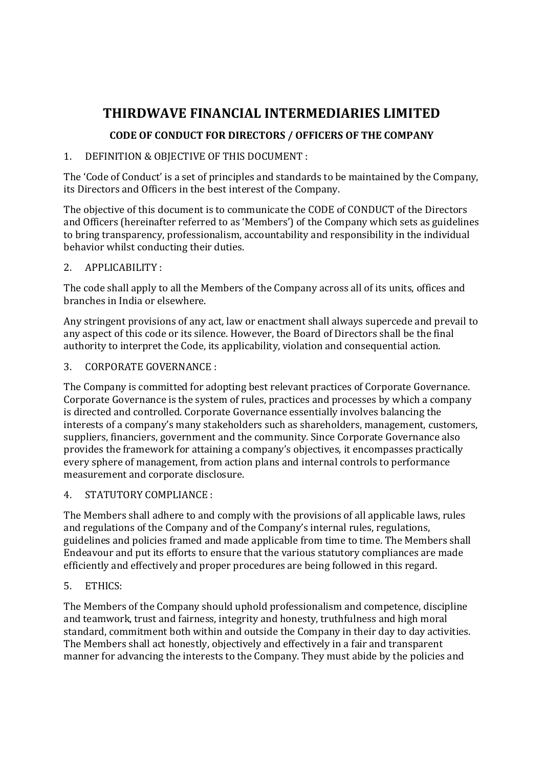# THIRDWAVE FINANCIAL INTERMEDIARIES LIMITED

## CODE OF CONDUCT FOR DIRECTORS / OFFICERS OF THE COMPANY

## 1. DEFINITION & OBJECTIVE OF THIS DOCUMENT :

The 'Code of Conduct' is a set of principles and standards to be maintained by the Company, its Directors and Officers in the best interest of the Company.

The objective of this document is to communicate the CODE of CONDUCT of the Directors and Officers (hereinafter referred to as 'Members') of the Company which sets as guidelines to bring transparency, professionalism, accountability and responsibility in the individual behavior whilst conducting their duties.

### 2. APPLICABILITY :

The code shall apply to all the Members of the Company across all of its units, offices and branches in India or elsewhere.

Any stringent provisions of any act, law or enactment shall always supercede and prevail to any aspect of this code or its silence. However, the Board of Directors shall be the final authority to interpret the Code, its applicability, violation and consequential action.

#### 3. CORPORATE GOVERNANCE :

The Company is committed for adopting best relevant practices of Corporate Governance. Corporate Governance is the system of rules, practices and processes by which a company is directed and controlled. Corporate Governance essentially involves balancing the interests of a company's many stakeholders such as shareholders, management, customers, suppliers, financiers, government and the community. Since Corporate Governance also provides the framework for attaining a company's objectives, it encompasses practically every sphere of management, from action plans and internal controls to performance measurement and corporate disclosure.

## 4. STATUTORY COMPLIANCE :

The Members shall adhere to and comply with the provisions of all applicable laws, rules and regulations of the Company and of the Company's internal rules, regulations, guidelines and policies framed and made applicable from time to time. The Members shall Endeavour and put its efforts to ensure that the various statutory compliances are made efficiently and effectively and proper procedures are being followed in this regard.

## 5. ETHICS:

The Members of the Company should uphold professionalism and competence, discipline and teamwork, trust and fairness, integrity and honesty, truthfulness and high moral standard, commitment both within and outside the Company in their day to day activities. The Members shall act honestly, objectively and effectively in a fair and transparent manner for advancing the interests to the Company. They must abide by the policies and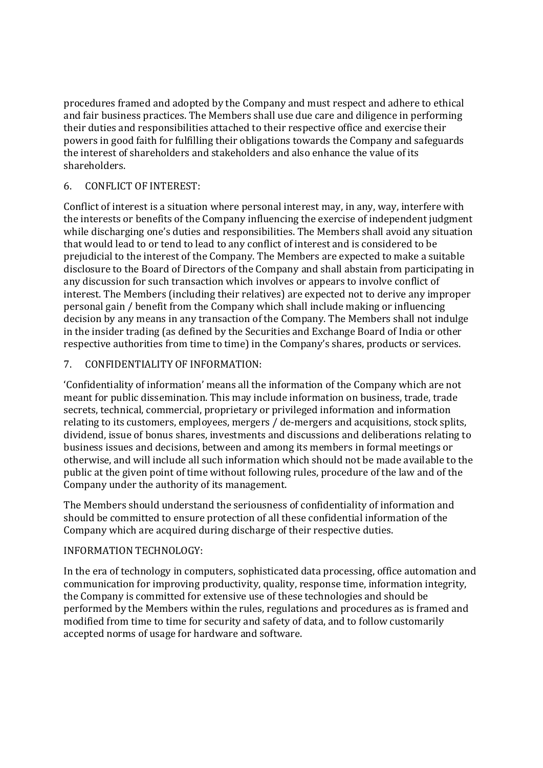procedures framed and adopted by the Company and must respect and adhere to ethical and fair business practices. The Members shall use due care and diligence in performing their duties and responsibilities attached to their respective office and exercise their powers in good faith for fulfilling their obligations towards the Company and safeguards the interest of shareholders and stakeholders and also enhance the value of its shareholders.

#### 6. CONFLICT OF INTEREST:

Conflict of interest is a situation where personal interest may, in any, way, interfere with the interests or benefits of the Company influencing the exercise of independent judgment while discharging one's duties and responsibilities. The Members shall avoid any situation that would lead to or tend to lead to any conflict of interest and is considered to be prejudicial to the interest of the Company. The Members are expected to make a suitable disclosure to the Board of Directors of the Company and shall abstain from participating in any discussion for such transaction which involves or appears to involve conflict of interest. The Members (including their relatives) are expected not to derive any improper personal gain / benefit from the Company which shall include making or influencing decision by any means in any transaction of the Company. The Members shall not indulge in the insider trading (as defined by the Securities and Exchange Board of India or other respective authorities from time to time) in the Company's shares, products or services.

#### 7. CONFIDENTIALITY OF INFORMATION:

'Confidentiality of information' means all the information of the Company which are not meant for public dissemination. This may include information on business, trade, trade secrets, technical, commercial, proprietary or privileged information and information relating to its customers, employees, mergers / de-mergers and acquisitions, stock splits, dividend, issue of bonus shares, investments and discussions and deliberations relating to business issues and decisions, between and among its members in formal meetings or otherwise, and will include all such information which should not be made available to the public at the given point of time without following rules, procedure of the law and of the Company under the authority of its management.

The Members should understand the seriousness of confidentiality of information and should be committed to ensure protection of all these confidential information of the Company which are acquired during discharge of their respective duties.

#### INFORMATION TECHNOLOGY:

In the era of technology in computers, sophisticated data processing, office automation and communication for improving productivity, quality, response time, information integrity, the Company is committed for extensive use of these technologies and should be performed by the Members within the rules, regulations and procedures as is framed and modified from time to time for security and safety of data, and to follow customarily accepted norms of usage for hardware and software.